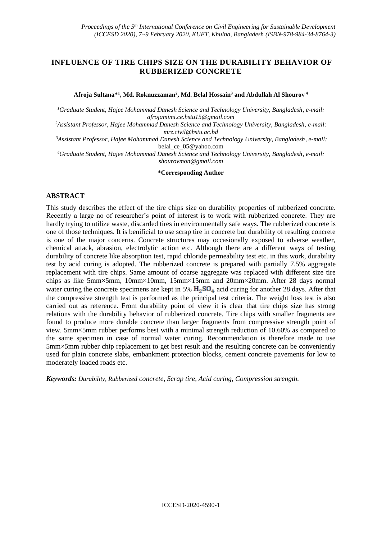# **INFLUENCE OF TIRE CHIPS SIZE ON THE DURABILITY BEHAVIOR OF RUBBERIZED CONCRETE**

**Afroja Sultana\*<sup>1</sup> , Md. Roknuzzaman<sup>2</sup> , Md. Belal Hossain<sup>3</sup> and Abdullah Al Shourov <sup>4</sup>**

*<sup>1</sup>Graduate Student, Hajee Mohammad Danesh Science and Technology University, Bangladesh, e-mail: afrojamimi.ce.hstu15@gmail.com*

*<sup>2</sup>Assistant Professor, Hajee Mohammad Danesh Science and Technology University, Bangladesh, e-mail: mrz.civil@hstu.ac.bd*

*<sup>3</sup>Assistant Professor, Hajee Mohammad Danesh Science and Technology University, Bangladesh, e-mail:*  [belal\\_ce\\_05@yahoo.com](mailto:belal_ce_05@yahoo.com)

*<sup>4</sup>Graduate Student, Hajee Mohammad Danesh Science and Technology University, Bangladesh, e-mail: shourovmon@gmail.com*

**\*Corresponding Author**

#### **ABSTRACT**

This study describes the effect of the tire chips size on durability properties of rubberized concrete. Recently a large no of researcher's point of interest is to work with rubberized concrete. They are hardly trying to utilize waste, discarded tires in environmentally safe ways. The rubberized concrete is one of those techniques. It is benificial to use scrap tire in concrete but durability of resulting concrete is one of the major concerns. Concrete structures may occasionally exposed to adverse weather, chemical attack, abrasion, electrolytic action etc. Although there are a different ways of testing durability of concrete like absorption test, rapid chloride permeability test etc. in this work, durability test by acid curing is adopted. The rubberized concrete is prepared with partially 7.5% aggregate replacement with tire chips. Same amount of coarse aggregate was replaced with different size tire chips as like 5mm×5mm, 10mm×10mm, 15mm×15mm and 20mm×20mm. After 28 days normal water curing the concrete specimens are kept in 5%  $H_2SO_4$  acid curing for another 28 days. After that the compressive strength test is performed as the principal test criteria. The weight loss test is also carried out as reference. From durability point of view it is clear that tire chips size has strong relations with the durability behavior of rubberized concrete. Tire chips with smaller fragments are found to produce more durable concrete than larger fragments from compressive strength point of view. 5mm×5mm rubber performs best with a minimal strength reduction of 10.60% as compared to the same specimen in case of normal water curing. Recommendation is therefore made to use 5mm×5mm rubber chip replacement to get best result and the resulting concrete can be conveniently used for plain concrete slabs, embankment protection blocks, cement concrete pavements for low to moderately loaded roads etc.

*Keywords: Durability, Rubberized concrete, Scrap tire, Acid curing, Compression strength.*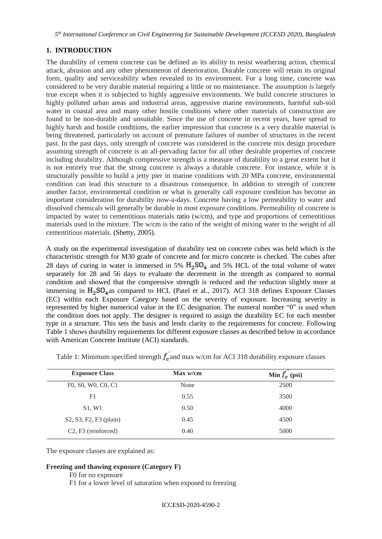## **1. INTRODUCTION**

The durability of cement concrete can be defined as its ability to resist weathering action, chemical attack, abrasion and any other phenomenon of deterioration. Durable concrete will retain its original form, quality and serviceability when revealed to its environment. For a long time, concrete was considered to be very durable material requiring a little or no maintenance. The assumption is largely true except when it is subjected to highly aggressive environments. We build concrete structures in highly polluted urban areas and industrial areas, aggressive marine environments, harmful sub-soil water in coastal area and many other hostile conditions where other materials of construction are found to be non-durable and unsuitable. Since the use of concrete in recent years, have spread to highly harsh and hostile conditions, the earlier impression that concrete is a very durable material is being threatened, particularly on account of premature failures of number of structures in the recent past. In the past days, only strength of concrete was considered in the concrete mix design procedure assuming strength of concrete is an all-pervading factor for all other desirable properties of concrete including durability. Although compressive strength is a measure of durability to a great extent but it is not entirely true that the strong concrete is always a durable concrete. For instance, while it is structurally possible to build a jetty pier in marine conditions with 20 MPa concrete, environmental condition can lead this structure to a disastrous consequence. In addition to strength of concrete another factor, environmental condition or what is generally call exposure condition has become an important consideration for durability now-a-days. Concrete having a low permeability to water and dissolved chemicals will generally be durable in most exposure conditions. Permeability of concrete is impacted by water to cementitious materials ratio (w/cm), and type and proportions of cementitious materials used in the mixture. The w/cm is the ratio of the weight of mixing water to the weight of all cementitious materials. (Shetty, 2005).

A study on the experimental investigation of durability test on concrete cubes was held which is the characteristic strength for M30 grade of concrete and for micro concrete is checked. The cubes after 28 days of curing in water is immersed in 5%  $H_2SO_4$  and 5% HCL of the total volume of water separately for 28 and 56 days to evaluate the decrement in the strength as compared to normal condition and showed that the compressive strength is reduced and the reduction slightly more at immersing in  $H_2SO_4$  as compared to HCL (Patel et al., 2017). ACI 318 defines Exposure Classes (EC) within each Exposure Category based on the severity of exposure. Increasing severity is represented by higher numerical value in the EC designation. The numeral number "0" is used when the condition does not apply. The designer is required to assign the durability EC for each member type in a structure. This sets the basis and lends clarity to the requirements for concrete. Following Table 1 shows durability requirements for different exposure classes as described below in accordance with American Concrete Institute (ACI) standards.

| <b>Exposure Class</b>                        | Max w/cm | Min $f_c$ (psi) |
|----------------------------------------------|----------|-----------------|
| F0, S0, W0, C0, C1                           | None     | 2500            |
| F1                                           | 0.55     | 3500            |
| S1, W1                                       | 0.50     | 4000            |
| S2, S3, F2, F3 (plain)                       | 0.45     | 4500            |
| C <sub>2</sub> , F <sub>3</sub> (reinforced) | 0.40     | 5000            |

Table 1: Minimum specified strength  $f_a$  and max w/cm for ACI 318 durability exposure classes

The exposure classes are explained as:

#### **Freezing and thawing exposure (Category F)**

- F0 for no exposure
- F1 for a lower level of saturation when exposed to freezing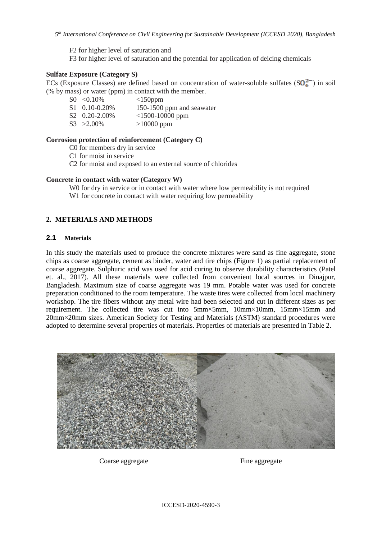F2 for higher level of saturation and F3 for higher level of saturation and the potential for application of deicing chemicals

## **Sulfate Exposure (Category S)**

ECs (Exposure Classes) are defined based on concentration of water-soluble sulfates  $(SQ_4^{2-})$  in soil (% by mass) or water (ppm) in contact with the member.

| $\text{S}0 \leq 0.10\%$   | $<150$ ppm                |
|---------------------------|---------------------------|
| $S1 \quad 0.10 - 0.20\%$  | 150-1500 ppm and seawater |
| S <sub>2</sub> 0.20-2.00% | $<$ 1500-10000 ppm        |
| $S_3 > 2.00\%$            | $>10000$ ppm              |

### **Corrosion protection of reinforcement (Category C)**

C0 for members dry in service

C1 for moist in service

C2 for moist and exposed to an external source of chlorides

### **Concrete in contact with water (Category W)**

W0 for dry in service or in contact with water where low permeability is not required

W<sub>1</sub> for concrete in contact with water requiring low permeability

## **2. METERIALS AND METHODS**

### **2.1 Materials**

In this study the materials used to produce the concrete mixtures were sand as fine aggregate, stone chips as coarse aggregate, cement as binder, water and tire chips (Figure 1) as partial replacement of coarse aggregate. Sulphuric acid was used for acid curing to observe durability characteristics (Patel et. al., 2017). All these materials were collected from convenient local sources in Dinajpur, Bangladesh. Maximum size of coarse aggregate was 19 mm. Potable water was used for concrete preparation conditioned to the room temperature. The waste tires were collected from local machinery workshop. The tire fibers without any metal wire had been selected and cut in different sizes as per requirement. The collected tire was cut into 5mm×5mm, 10mm×10mm, 15mm×15mm and 20mm×20mm sizes. American Society for Testing and Materials (ASTM) standard procedures were adopted to determine several properties of materials. Properties of materials are presented in Table 2.



Coarse aggregate Fine aggregate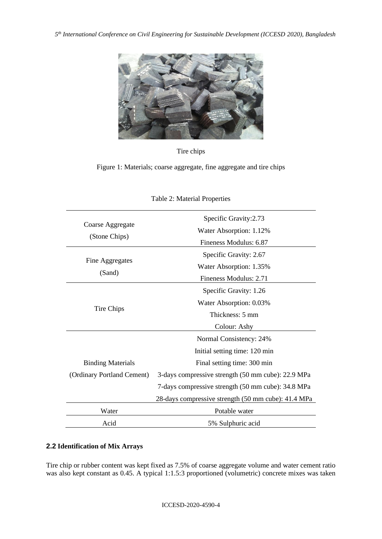

Tire chips

Figure 1: Materials; coarse aggregate, fine aggregate and tire chips

| Coarse Aggregate<br>(Stone Chips) | Specific Gravity: 2.73<br>Water Absorption: 1.12%   |  |  |
|-----------------------------------|-----------------------------------------------------|--|--|
|                                   | Fineness Modulus: 6.87                              |  |  |
| Fine Aggregates                   | Specific Gravity: 2.67                              |  |  |
| (Sand)                            | Water Absorption: 1.35%                             |  |  |
|                                   | Fineness Modulus: 2.71                              |  |  |
|                                   | Specific Gravity: 1.26                              |  |  |
|                                   | Water Absorption: 0.03%                             |  |  |
| Tire Chips                        | Thickness: 5 mm                                     |  |  |
|                                   | Colour: Ashy                                        |  |  |
|                                   | Normal Consistency: 24%                             |  |  |
|                                   | Initial setting time: 120 min                       |  |  |
| <b>Binding Materials</b>          | Final setting time: 300 min                         |  |  |
| (Ordinary Portland Cement)        | 3-days compressive strength (50 mm cube): 22.9 MPa  |  |  |
|                                   | 7-days compressive strength (50 mm cube): 34.8 MPa  |  |  |
|                                   | 28-days compressive strength (50 mm cube): 41.4 MPa |  |  |
| Water                             | Potable water                                       |  |  |
| Acid                              | 5% Sulphuric acid                                   |  |  |

## Table 2: Material Properties

# **2.2 Identification of Mix Arrays**

Tire chip or rubber content was kept fixed as 7.5% of coarse aggregate volume and water cement ratio was also kept constant as 0.45. A typical 1:1.5:3 proportioned (volumetric) concrete mixes was taken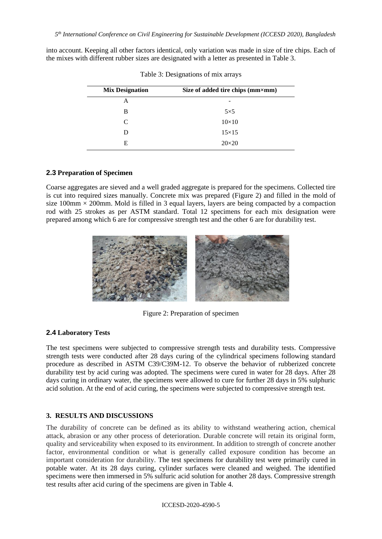into account. Keeping all other factors identical, only variation was made in size of tire chips. Each of the mixes with different rubber sizes are designated with a letter as presented in Table 3.

| <b>Mix Designation</b> | Size of added tire chips (mm×mm) |
|------------------------|----------------------------------|
| А                      | -                                |
| в                      | $5\times5$                       |
| C                      | $10\times10$                     |
| D                      | $15\times15$                     |
| E                      | $20\times20$                     |

Table 3: Designations of mix arrays

# **2.3 Preparation of Specimen**

Coarse aggregates are sieved and a well graded aggregate is prepared for the specimens. Collected tire is cut into required sizes manually. Concrete mix was prepared (Figure 2) and filled in the mold of size 100mm  $\times$  200mm. Mold is filled in 3 equal layers, layers are being compacted by a compaction rod with 25 strokes as per ASTM standard. Total 12 specimens for each mix designation were prepared among which 6 are for compressive strength test and the other 6 are for durability test.



Figure 2: Preparation of specimen

## **2.4 Laboratory Tests**

The test specimens were subjected to compressive strength tests and durability tests. Compressive strength tests were conducted after 28 days curing of the cylindrical specimens following standard procedure as described in ASTM C39/C39M-12. To observe the behavior of rubberized concrete durability test by acid curing was adopted. The specimens were cured in water for 28 days. After 28 days curing in ordinary water, the specimens were allowed to cure for further 28 days in 5% sulphuric acid solution. At the end of acid curing, the specimens were subjected to compressive strength test.

## **3. RESULTS AND DISCUSSIONS**

The durability of concrete can be defined as its ability to withstand weathering action, chemical attack, abrasion or any other process of deterioration. Durable concrete will retain its original form, quality and serviceability when exposed to its environment. In addition to strength of concrete another factor, environmental condition or what is generally called exposure condition has become an important consideration for durability. The test specimens for durability test were primarily cured in potable water. At its 28 days curing, cylinder surfaces were cleaned and weighed. The identified specimens were then immersed in 5% sulfuric acid solution for another 28 days. Compressive strength test results after acid curing of the specimens are given in Table 4.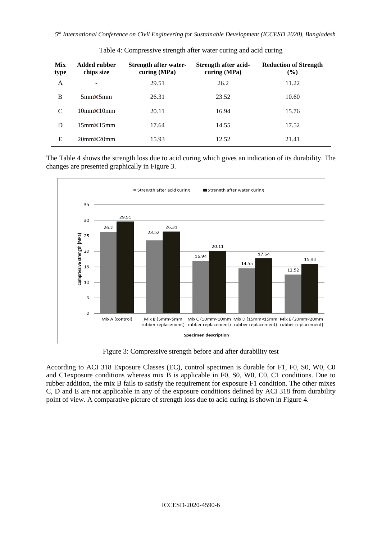| <b>Mix</b><br><b>type</b> | <b>Added rubber</b><br>chips size | <b>Strength after water-</b><br>curing (MPa) | Strength after acid-<br>curing $(MPa)$ | <b>Reduction of Strength</b><br>$(\%)$ |
|---------------------------|-----------------------------------|----------------------------------------------|----------------------------------------|----------------------------------------|
| A                         |                                   | 29.51                                        | 26.2                                   | 11.22                                  |
| B                         | $5mm\times 5mm$                   | 26.31                                        | 23.52                                  | 10.60                                  |
| C                         | $10mm\times10mm$                  | 20.11                                        | 16.94                                  | 15.76                                  |
| D                         | $15mm \times 15mm$                | 17.64                                        | 14.55                                  | 17.52                                  |
| E                         | $20mm\times 20mm$                 | 15.93                                        | 12.52                                  | 21.41                                  |

Table 4: Compressive strength after water curing and acid curing

The Table 4 shows the strength loss due to acid curing which gives an indication of its durability. The changes are presented graphically in Figure 3.



Figure 3: Compressive strength before and after durability test

According to ACI 318 Exposure Classes (EC), control specimen is durable for F1, F0, S0, W0, C0 and C1exposure conditions whereas mix B is applicable in F0, S0, W0, C0, C1 conditions. Due to rubber addition, the mix B fails to satisfy the requirement for exposure F1 condition. The other mixes C, D and E are not applicable in any of the exposure conditions defined by ACI 318 from durability point of view. A comparative picture of strength loss due to acid curing is shown in Figure 4.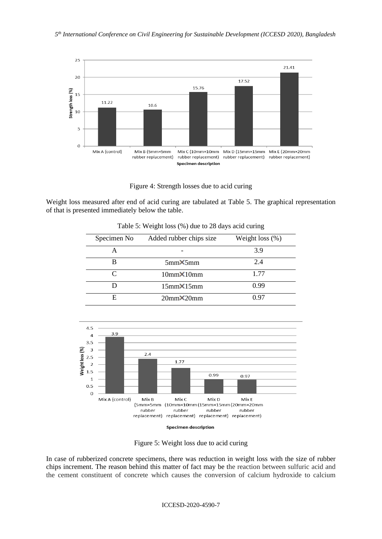

Figure 4: Strength losses due to acid curing

Weight loss measured after end of acid curing are tabulated at Table 5. The graphical representation of that is presented immediately below the table.

| Specimen No | Added rubber chips size | Weight loss $(\%)$ |
|-------------|-------------------------|--------------------|
|             |                         | 3.9                |
|             | $5mm \times 5mm$        | 2.4                |
|             | $10mm\times10mm$        | 1.77               |
|             | $15mm\times15mm$        | 0.99               |
| E           | $20mm\times 20mm$       | በ 97               |

Table 5: Weight loss (%) due to 28 days acid curing



**Specimen description** 

Figure 5: Weight loss due to acid curing

In case of rubberized concrete specimens, there was reduction in weight loss with the size of rubber chips increment. The reason behind this matter of fact may be the reaction between sulfuric acid and the cement constituent of concrete which causes the conversion of calcium hydroxide to calcium